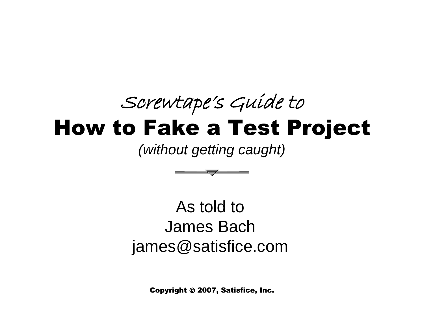#### Screwtape's Guide to How to Fake a Test Project

*(without getting caught)*



As told to James Bach james@satisfice.com

Copyright © 2007, Satisfice, Inc.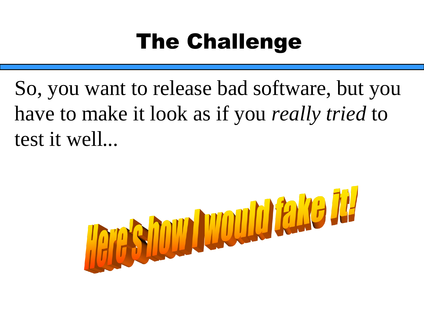## The Challenge

So, you want to release bad software, but you have to make it look as if you *really tried* to test it well*...*

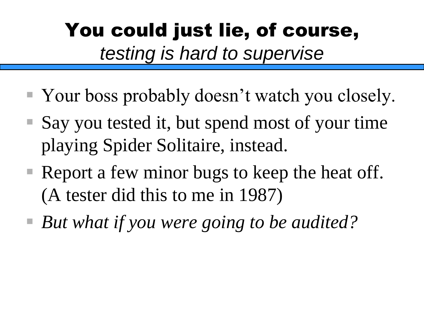### You could just lie, of course, *testing is hard to supervise*

- Your boss probably doesn't watch you closely.
- Say you tested it, but spend most of your time playing Spider Solitaire, instead.
- $\blacksquare$  Report a few minor bugs to keep the heat off. (A tester did this to me in 1987)
- *But what if you were going to be audited?*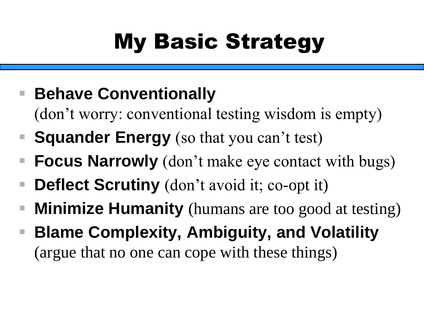# My Basic Strategy

- **Behave Conventionally** 
	- (don't worry: conventional testing wisdom is empty)
- **Squander Energy** (so that you can't test)
- **Focus Narrowly** (don't make eye contact with bugs)
- **Deflect Scrutiny** (don't avoid it; co-opt it)
- **Minimize Humanity** (humans are too good at testing)
- **Blame Complexity, Ambiguity, and Volatility** (argue that no one can cope with these things)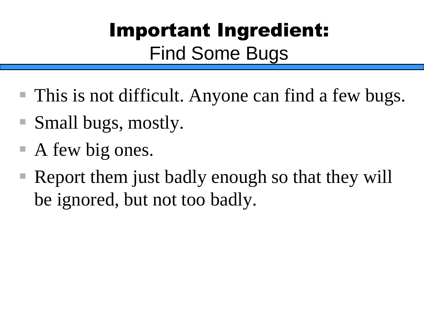## Important Ingredient: Find Some Bugs

- This is not difficult. Anyone can find a few bugs.
- Small bugs, mostly.
- $\blacksquare$  A few big ones.
- $\blacksquare$  Report them just badly enough so that they will be ignored, but not too badly.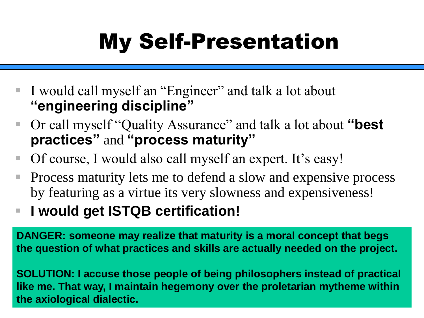# My Self-Presentation

- I would call myself an "Engineer" and talk a lot about **"engineering discipline"**
- Or call myself "Quality Assurance" and talk a lot about "**best practices"** and **"process maturity"**
- Of course, I would also call myself an expert. It's easy!
- Process maturity lets me to defend a slow and expensive process by featuring as a virtue its very slowness and expensiveness!
- I would get ISTQB certification!

**DANGER: someone may realize that maturity is a moral concept that begs the question of what practices and skills are actually needed on the project.** 

**SOLUTION: I accuse those people of being philosophers instead of practical like me. That way, I maintain hegemony over the proletarian mytheme within the axiological dialectic.**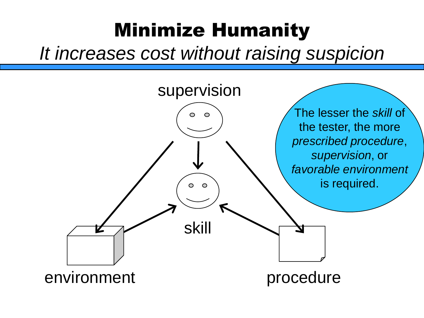### Minimize Humanity

*It increases cost without raising suspicion*

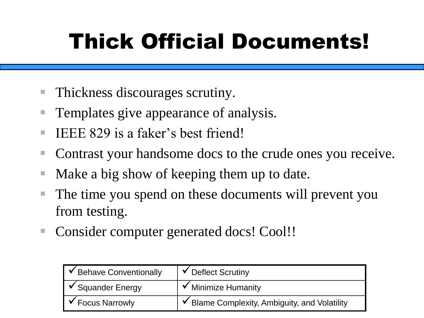## Thick Official Documents!

- Thickness discourages scrutiny.
- Templates give appearance of analysis.
- IEEE 829 is a faker's best friend!
- Contrast your handsome docs to the crude ones you receive.
- Make a big show of keeping them up to date.
- The time you spend on these documents will prevent you from testing.
- Consider computer generated docs! Cool!!

| $\triangleright$ Behave Conventionally | $\checkmark$ Deflect Scrutiny                 |
|----------------------------------------|-----------------------------------------------|
| $\sqrt{\ }$ Squander Energy            | $\checkmark$ Minimize Humanity                |
| $\triangleright$ Focus Narrowly        | ✔ Blame Complexity, Ambiguity, and Volatility |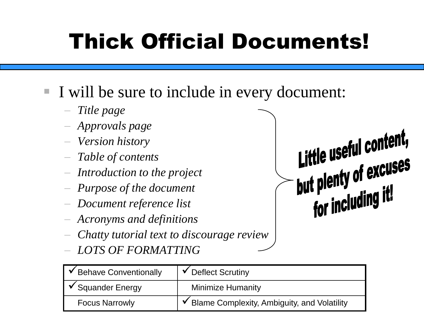## Thick Official Documents!

#### ▪ I will be sure to include in every document:

- − *Title page*
- − *Approvals page*
- − *Version history*
- − *Table of contents*
- − *Introduction to the project*
- − *Purpose of the document*
- − *Document reference list*
- − *Acronyms and definitions*
- − *Chatty tutorial text to discourage review*
- − *LOTS OF FORMATTING*

| ✔ Behave Conventionally      | $\checkmark$ Deflect Scrutiny                 |
|------------------------------|-----------------------------------------------|
| $\checkmark$ Squander Energy | <b>Minimize Humanity</b>                      |
| <b>Focus Narrowly</b>        | ✔ Blame Complexity, Ambiguity, and Volatility |

**Little useful content,<br>but plenty of excuses<br>for including it!**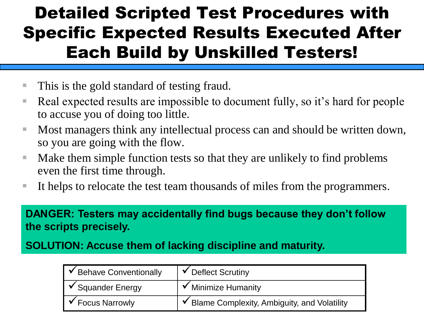#### Detailed Scripted Test Procedures with Specific Expected Results Executed After Each Build by Unskilled Testers!

- This is the gold standard of testing fraud.
- Real expected results are impossible to document fully, so it's hard for people to accuse you of doing too little.
- Most managers think any intellectual process can and should be written down, so you are going with the flow.
- Make them simple function tests so that they are unlikely to find problems even the first time through.
- It helps to relocate the test team thousands of miles from the programmers.

**DANGER: Testers may accidentally find bugs because they don't follow the scripts precisely.** 

**SOLUTION: Accuse them of lacking discipline and maturity.**

| √ Behave Conventionally      | $\checkmark$ Deflect Scrutiny                 |
|------------------------------|-----------------------------------------------|
| $\checkmark$ Squander Energy | $\checkmark$ Minimize Humanity                |
| <b>Focus Narrowly</b>        | ✔ Blame Complexity, Ambiguity, and Volatility |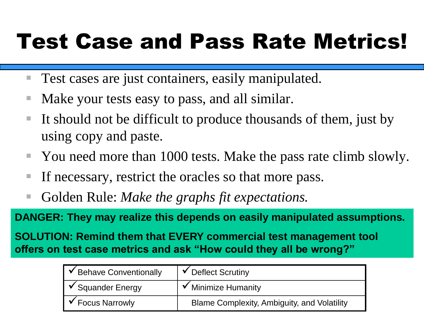## Test Case and Pass Rate Metrics!

- Test cases are just containers, easily manipulated.
- Make your tests easy to pass, and all similar.
- It should not be difficult to produce thousands of them, just by using copy and paste.
- You need more than 1000 tests. Make the pass rate climb slowly.
- If necessary, restrict the oracles so that more pass.
- Golden Rule: *Make the graphs fit expectations*.

**DANGER: They may realize this depends on easily manipulated assumptions.**

**SOLUTION: Remind them that EVERY commercial test management tool offers on test case metrics and ask "How could they all be wrong?"**

| <b>V</b> Behave Conventionally | $\checkmark$ Deflect Scrutiny                      |
|--------------------------------|----------------------------------------------------|
| $\checkmark$ Squander Energy   | ✔ Minimize Humanity                                |
| $\checkmark$ Focus Narrowly    | <b>Blame Complexity, Ambiguity, and Volatility</b> |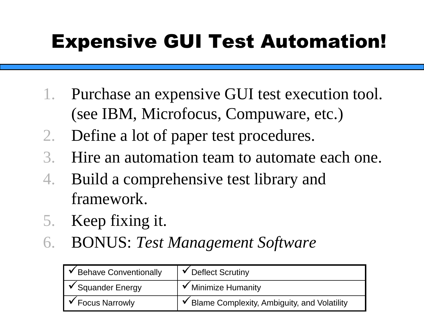## Expensive GUI Test Automation!

- 1. Purchase an expensive GUI test execution tool. (see IBM, Microfocus, Compuware, etc.)
- 2. Define a lot of paper test procedures.
- 3. Hire an automation team to automate each one.
- 4. Build a comprehensive test library and framework.
- 5. Keep fixing it.
- 6. BONUS: *Test Management Software*

| │ ◆ Behave Conventionally        | $\checkmark$ Deflect Scrutiny                 |
|----------------------------------|-----------------------------------------------|
| $\triangleright$ Squander Energy | $\checkmark$ Minimize Humanity                |
| <b>Focus Narrowly</b>            | ✔ Blame Complexity, Ambiguity, and Volatility |